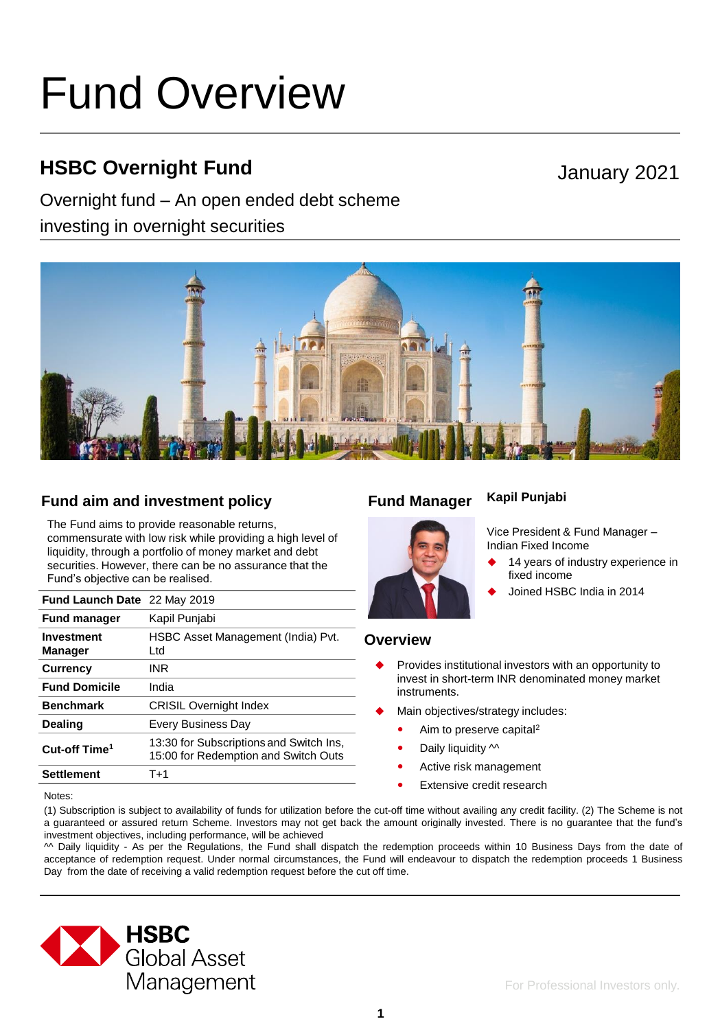# Fund Overview

## **HSBC Overnight Fund**

### Overnight fund – An open ended debt scheme

investing in overnight securities

## January 2021



#### **Fund aim and investment policy Fund Manager**

The Fund aims to provide reasonable returns, commensurate with low risk while providing a high level of liquidity, through a portfolio of money market and debt securities. However, there can be no assurance that the Fund's objective can be realised.

| Fund Launch Date 22 May 2019        |                                                                                 |
|-------------------------------------|---------------------------------------------------------------------------------|
| <b>Fund manager</b>                 | Kapil Punjabi                                                                   |
| <b>Investment</b><br><b>Manager</b> | HSBC Asset Management (India) Pvt.<br>Ltd.                                      |
| <b>Currency</b>                     | INR                                                                             |
| <b>Fund Domicile</b>                | India                                                                           |
| <b>Benchmark</b>                    | <b>CRISIL Overnight Index</b>                                                   |
| <b>Dealing</b>                      | Every Business Day                                                              |
| Cut-off Time <sup>1</sup>           | 13:30 for Subscriptions and Switch Ins,<br>15:00 for Redemption and Switch Outs |
| <b>Settlement</b>                   | $T+1$                                                                           |

#### **Kapil Punjabi**

fixed income

14 years of industry experience in

Joined HSBC India in 2014



#### **Overview**

- Provides institutional investors with an opportunity to invest in short-term INR denominated money market instruments.
- Main objectives/strategy includes:
	- Aim to preserve capital<sup>2</sup>
	- Daily liquidity  $\sim$
	- Active risk management
	- **•** Extensive credit research

Notes:

(1) Subscription is subject to availability of funds for utilization before the cut-off time without availing any credit facility. (2) The Scheme is not a guaranteed or assured return Scheme. Investors may not get back the amount originally invested. There is no guarantee that the fund's investment objectives, including performance, will be achieved

^^ Daily liquidity - As per the Regulations, the Fund shall dispatch the redemption proceeds within 10 Business Days from the date of acceptance of redemption request. Under normal circumstances, the Fund will endeavour to dispatch the redemption proceeds 1 Business Day from the date of receiving a valid redemption request before the cut off time.

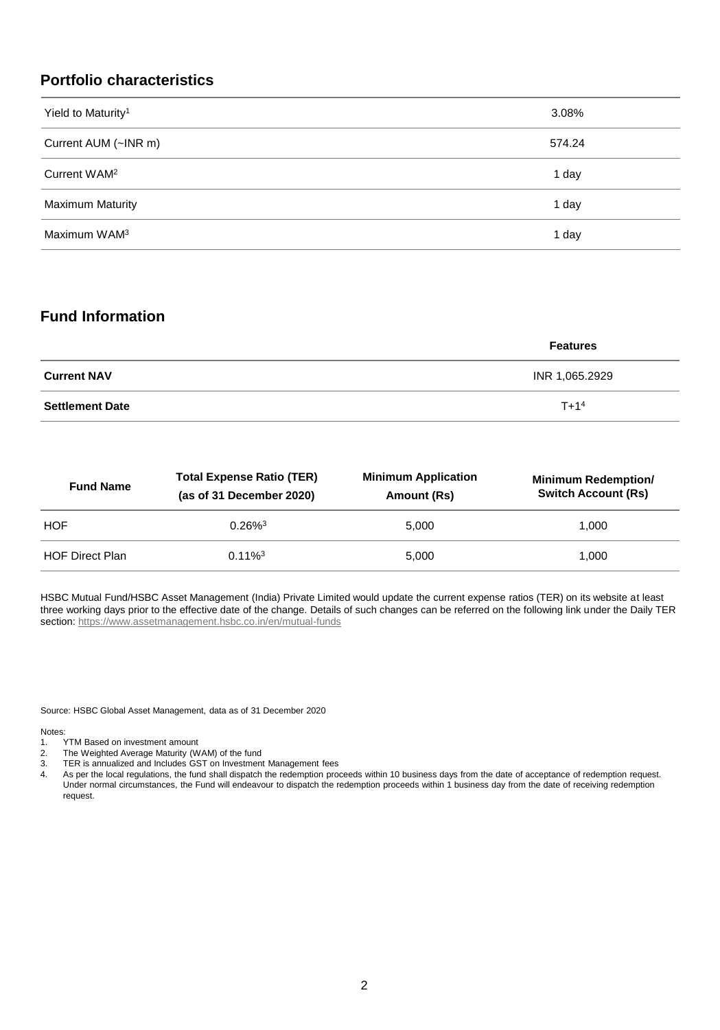#### **Portfolio characteristics**

| Yield to Maturity <sup>1</sup> | 3.08%  |
|--------------------------------|--------|
| Current AUM (~INR m)           | 574.24 |
| Current WAM <sup>2</sup>       | 1 day  |
| <b>Maximum Maturity</b>        | 1 day  |
| Maximum WAM <sup>3</sup>       | 1 day  |

#### **Fund Information**

|                        | <b>Features</b> |
|------------------------|-----------------|
| <b>Current NAV</b>     | INR 1,065.2929  |
| <b>Settlement Date</b> | $T + 14$        |

| <b>Total Expense Ratio (TER)</b><br><b>Fund Name</b><br>(as of 31 December 2020) |                       | <b>Minimum Application</b><br>Amount (Rs) | <b>Minimum Redemption/</b><br><b>Switch Account (Rs)</b> |
|----------------------------------------------------------------------------------|-----------------------|-------------------------------------------|----------------------------------------------------------|
| <b>HOF</b>                                                                       | $0.26\%$ <sup>3</sup> | 5.000                                     | 1.000                                                    |
| <b>HOF Direct Plan</b>                                                           | $0.11\%$ <sup>3</sup> | 5.000                                     | 1.000                                                    |

HSBC Mutual Fund/HSBC Asset Management (India) Private Limited would update the current expense ratios (TER) on its website at least three working days prior to the effective date of the change. Details of such changes can be referred on the following link under the Daily TER section:<https://www.assetmanagement.hsbc.co.in/en/mutual-funds>

Source: HSBC Global Asset Management, data as of 31 December 2020

Notes:<br>1.

- TYTM Based on investment amount
- 2. The Weighted Average Maturity (WAM) of the fund
- 3. TER is annualized and Includes GST on Investment Management fees
- 4. As per the local regulations, the fund shall dispatch the redemption proceeds within 10 business days from the date of acceptance of redemption request. Under normal circumstances, the Fund will endeavour to dispatch the redemption proceeds within 1 business day from the date of receiving redemption request.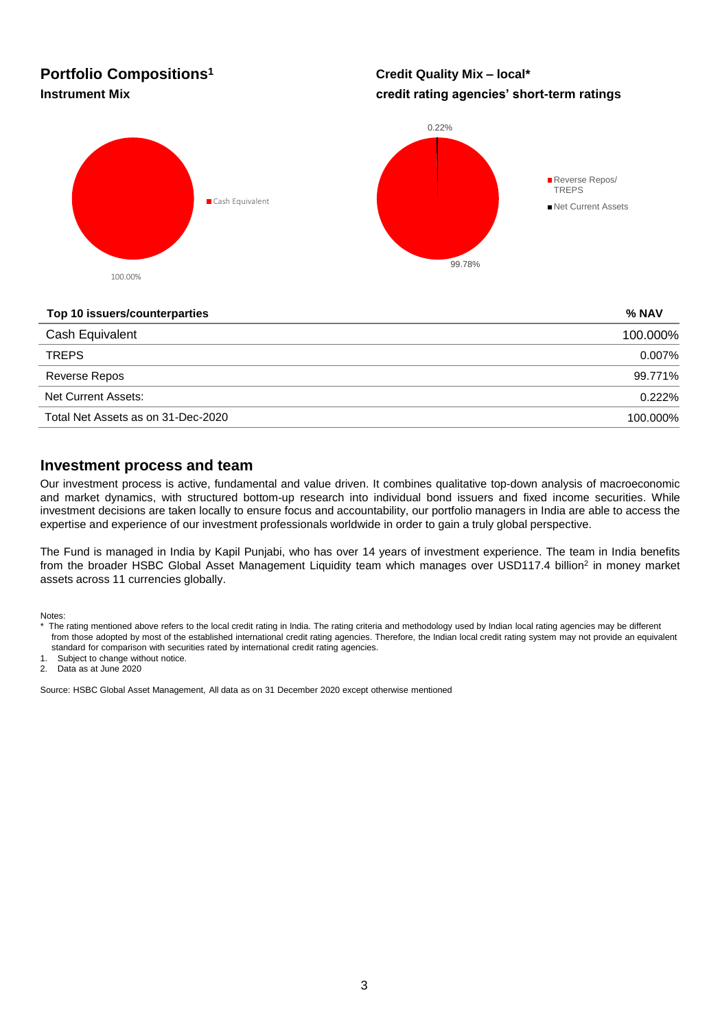## **Portfolio Compositions<sup>1</sup>**

#### **Credit Quality Mix – local\* Instrument Mix credit rating agencies' short-term ratings**



#### **Top 10 issuers/counterparties % NAV**

| 100.000% |
|----------|
| 0.007%   |
| 99.771%  |
| 0.222%   |
| 100.000% |
|          |

#### **Investment process and team**

Our investment process is active, fundamental and value driven. It combines qualitative top-down analysis of macroeconomic and market dynamics, with structured bottom-up research into individual bond issuers and fixed income securities. While investment decisions are taken locally to ensure focus and accountability, our portfolio managers in India are able to access the expertise and experience of our investment professionals worldwide in order to gain a truly global perspective.

The Fund is managed in India by Kapil Punjabi, who has over 14 years of investment experience. The team in India benefits from the broader HSBC Global Asset Management Liquidity team which manages over USD117.4 billion<sup>2</sup> in money market assets across 11 currencies globally.

Notes:

1. Subject to change without notice.

2. Data as at June 2020

Source: HSBC Global Asset Management, All data as on 31 December 2020 except otherwise mentioned

The rating mentioned above refers to the local credit rating in India. The rating criteria and methodology used by Indian local rating agencies may be different from those adopted by most of the established international credit rating agencies. Therefore, the Indian local credit rating system may not provide an equivalent standard for comparison with securities rated by international credit rating agencies.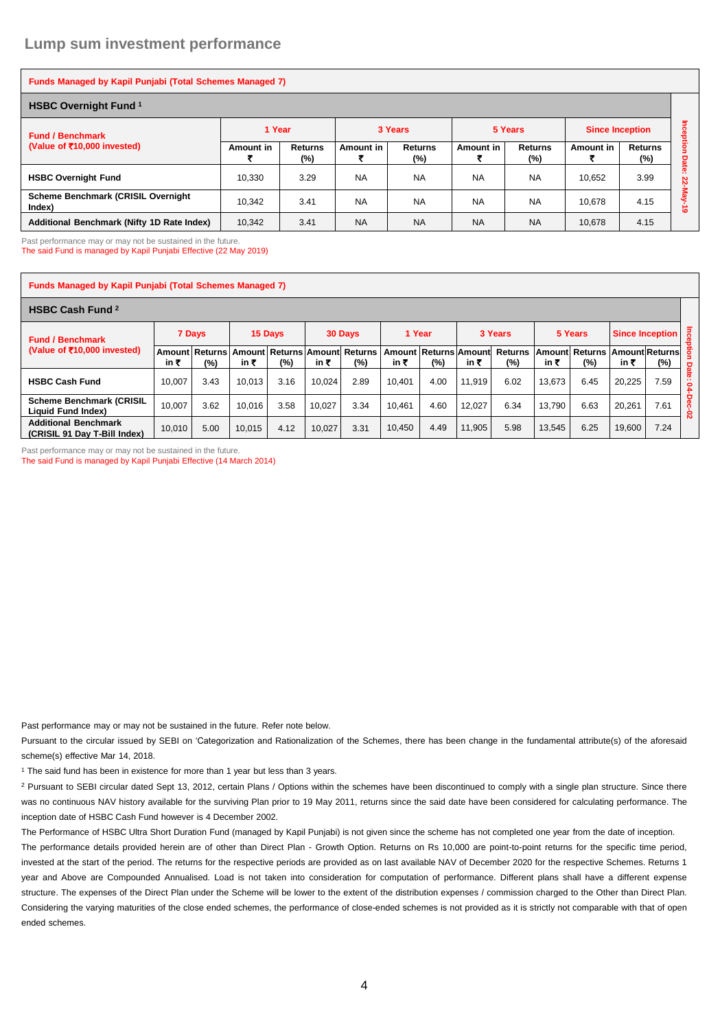| <b>Funds Managed by Kapil Punjabi (Total Schemes Managed 7)</b> |           |                          |           |                |           |                       |                        |                          |                |  |  |  |
|-----------------------------------------------------------------|-----------|--------------------------|-----------|----------------|-----------|-----------------------|------------------------|--------------------------|----------------|--|--|--|
| <b>HSBC Overnight Fund 1</b>                                    |           |                          |           |                |           |                       |                        |                          |                |  |  |  |
| <b>Fund / Benchmark</b>                                         | 1 Year    |                          |           | 3 Years        |           | 5 Years               | <b>Since Inception</b> |                          | Inception      |  |  |  |
| (Value of $\bar{z}$ 10,000 invested)                            | Amount in | <b>Returns</b><br>$(\%)$ | Amount in | Returns<br>(%) | Amount in | <b>Returns</b><br>(%) | Amount in              | <b>Returns</b><br>$(\%)$ | Date           |  |  |  |
| <b>HSBC Overnight Fund</b>                                      | 10.330    | 3.29                     | <b>NA</b> | <b>NA</b>      | <b>NA</b> | <b>NA</b>             | 10.652                 | 3.99                     | .<br>$22-M$    |  |  |  |
| <b>Scheme Benchmark (CRISIL Overnight</b><br>Index)             | 10.342    | 3.41                     | <b>NA</b> | <b>NA</b>      | <b>NA</b> | <b>NA</b>             | 10.678                 | 4.15                     | ہے<br>$\omega$ |  |  |  |
| Additional Benchmark (Nifty 1D Rate Index)                      | 10,342    | 3.41                     | <b>NA</b> | <b>NA</b>      | <b>NA</b> | <b>NA</b>             | 10,678                 | 4.15                     |                |  |  |  |

Past performance may or may not be sustained in the future. The said Fund is managed by Kapil Punjabi Effective (22 May 2019)

| <b>Funds Managed by Kapil Punjabi (Total Schemes Managed 7)</b> |        |                       |               |         |        |                                   |        |                                 |        |                          |        |                                        |        |                                   |                   |
|-----------------------------------------------------------------|--------|-----------------------|---------------|---------|--------|-----------------------------------|--------|---------------------------------|--------|--------------------------|--------|----------------------------------------|--------|-----------------------------------|-------------------|
| <b>HSBC Cash Fund 2</b>                                         |        |                       |               |         |        |                                   |        |                                 |        |                          |        |                                        |        |                                   |                   |
| <b>Fund / Benchmark</b><br>(Value of ₹10,000 invested)          |        | 7 Days                |               | 15 Days |        | 30 Days                           |        | 1 Year                          |        | 3 Years                  |        | 5 Years                                |        | $\overline{a}$<br>Since Inception |                   |
|                                                                 | in ₹   | Amount Returns<br>(%) | Amount<br>in₹ | (%)     | in ₹   | Returns   Amount   Returns<br>(%) | in ₹   | Amount Returns Amount<br>$(\%)$ | in ₹   | <b>Returns</b><br>$(\%)$ | in ₹   | Amount Returns   Amount Returns<br>(%) | in ₹   | (%)                               | ĝ                 |
| <b>HSBC Cash Fund</b>                                           | 10.007 | 3.43                  | 10.013        | 3.16    | 10.024 | 2.89                              | 10.401 | 4.00                            | 11.919 | 6.02                     | 13.673 | 6.45                                   | 20,225 | 7.59                              | <b>Date:</b><br>2 |
| <b>Scheme Benchmark (CRISIL</b><br>Liquid Fund Index)           | 10.007 | 3.62                  | 10.016        | 3.58    | 10.027 | 3.34                              | 10.461 | 4.60                            | 12.027 | 6.34                     | 13.790 | 6.63                                   | 20.261 | 7.61                              | Dec-02            |
| <b>Additional Benchmark</b><br>(CRISIL 91 Day T-Bill Index)     | 10,010 | 5.00                  | 10.015        | 4.12    | 10,027 | 3.31                              | 10,450 | 4.49                            | 11,905 | 5.98                     | 13,545 | 6.25                                   | 19,600 | 7.24                              |                   |

Past performance may or may not be sustained in the future. The said Fund is managed by Kapil Punjabi Effective (14 March 2014)

Past performance may or may not be sustained in the future. Refer note below.

Pursuant to the circular issued by SEBI on 'Categorization and Rationalization of the Schemes, there has been change in the fundamental attribute(s) of the aforesaid scheme(s) effective Mar 14, 2018.

<sup>1</sup> The said fund has been in existence for more than 1 year but less than 3 years.

<sup>2</sup> Pursuant to SEBI circular dated Sept 13, 2012, certain Plans / Options within the schemes have been discontinued to comply with a single plan structure. Since there was no continuous NAV history available for the surviving Plan prior to 19 May 2011, returns since the said date have been considered for calculating performance. The inception date of HSBC Cash Fund however is 4 December 2002.

The Performance of HSBC Ultra Short Duration Fund (managed by Kapil Punjabi) is not given since the scheme has not completed one year from the date of inception. The performance details provided herein are of other than Direct Plan - Growth Option. Returns on Rs 10,000 are point-to-point returns for the specific time period, invested at the start of the period. The returns for the respective periods are provided as on last available NAV of December 2020 for the respective Schemes. Returns 1 year and Above are Compounded Annualised. Load is not taken into consideration for computation of performance. Different plans shall have a different expense structure. The expenses of the Direct Plan under the Scheme will be lower to the extent of the distribution expenses / commission charged to the Other than Direct Plan. Considering the varying maturities of the close ended schemes, the performance of close-ended schemes is not provided as it is strictly not comparable with that of open ended schemes.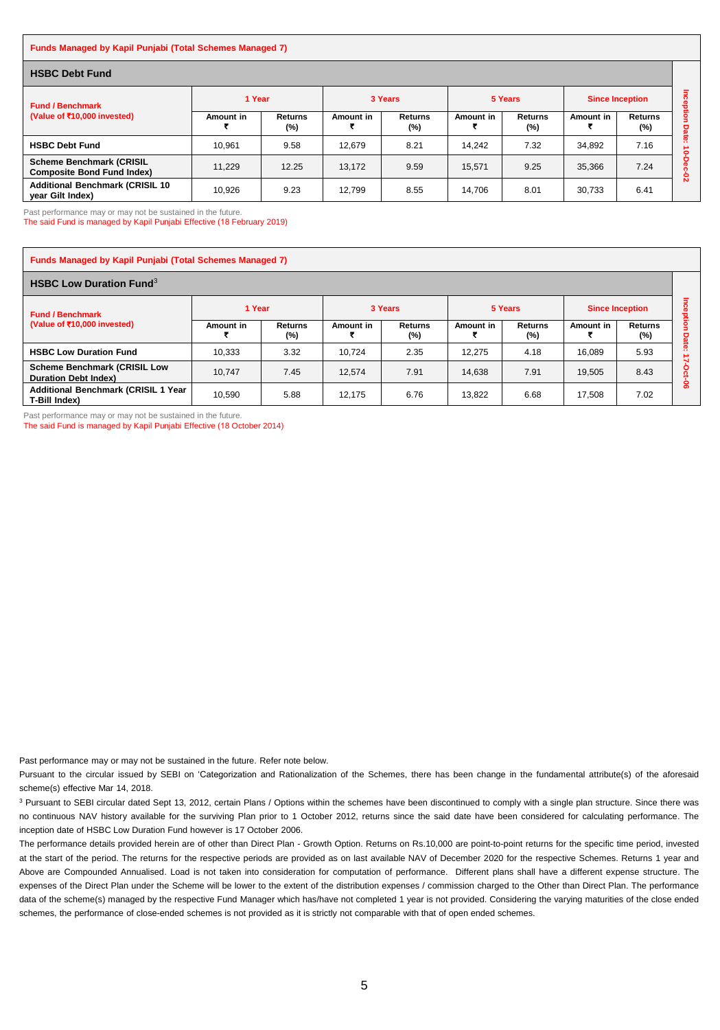#### **Funds Managed by Kapil Punjabi (Total Schemes Managed 7)**

| <b>HSBC Debt Fund</b>                                                |           |                       |           |                          |           |                       |                        |                |               |  |  |
|----------------------------------------------------------------------|-----------|-----------------------|-----------|--------------------------|-----------|-----------------------|------------------------|----------------|---------------|--|--|
| <b>Fund / Benchmark</b><br>(Value of ₹10,000 invested)               | 1 Year    |                       |           | 3 Years                  |           | 5 Years               | <b>Since Inception</b> |                |               |  |  |
|                                                                      | Amount in | <b>Returns</b><br>(%) | Amount in | <b>Returns</b><br>$(\%)$ | Amount in | <b>Returns</b><br>(%) | Amount in              | Returns<br>(%) | ۰<br>o<br>ete |  |  |
| <b>HSBC Debt Fund</b>                                                | 10.961    | 9.58                  | 12.679    | 8.21                     | 14.242    | 7.32                  | 34.892                 | 7.16           | $\bullet$     |  |  |
| <b>Scheme Benchmark (CRISIL</b><br><b>Composite Bond Fund Index)</b> | 11.229    | 12.25                 | 13.172    | 9.59                     | 15.571    | 9.25                  | 35,366                 | 7.24           | ន             |  |  |
| <b>Additional Benchmark (CRISIL 10)</b><br>year Gilt Index)          | 10.926    | 9.23                  | 12.799    | 8.55                     | 14.706    | 8.01                  | 30.733                 | 6.41           |               |  |  |

Past performance may or may not be sustained in the future.

The said Fund is managed by Kapil Punjabi Effective (18 February 2019)

| <b>Funds Managed by Kapil Punjabi (Total Schemes Managed 7)</b>    |           |                   |           |                          |           |                       |                        |                           |                |  |  |  |
|--------------------------------------------------------------------|-----------|-------------------|-----------|--------------------------|-----------|-----------------------|------------------------|---------------------------|----------------|--|--|--|
| <b>HSBC Low Duration Fund</b> <sup>3</sup>                         |           |                   |           |                          |           |                       |                        |                           |                |  |  |  |
| <b>Fund / Benchmark</b><br>(Value of ₹10,000 invested)             | 1 Year    |                   | 3 Years   |                          | 5 Years   |                       | <b>Since Inception</b> |                           | ິ<br>æ         |  |  |  |
|                                                                    | Amount in | Returns<br>$(\%)$ | Amount in | <b>Returns</b><br>$(\%)$ | Amount in | <b>Returns</b><br>(%) | Amount in              | <b>Returns</b><br>$(\% )$ | jation<br>Date |  |  |  |
| <b>HSBC Low Duration Fund</b>                                      | 10.333    | 3.32              | 10.724    | 2.35                     | 12.275    | 4.18                  | 16.089                 | 5.93                      | n              |  |  |  |
| <b>Scheme Benchmark (CRISIL Low</b><br><b>Duration Debt Index)</b> | 10.747    | 7.45              | 12.574    | 7.91                     | 14.638    | 7.91                  | 19.505                 | 8.43                      | o              |  |  |  |
| <b>Additional Benchmark (CRISIL 1 Year</b><br>T-Bill Index)        | 10.590    | 5.88              | 12.175    | 6.76                     | 13.822    | 6.68                  | 17.508                 | 7.02                      | ႙ၟ             |  |  |  |

Past performance may or may not be sustained in the future. The said Fund is managed by Kapil Punjabi Effective (18 October 2014)

Past performance may or may not be sustained in the future. Refer note below.

Pursuant to the circular issued by SEBI on 'Categorization and Rationalization of the Schemes, there has been change in the fundamental attribute(s) of the aforesaid scheme(s) effective Mar 14, 2018.

<sup>3</sup> Pursuant to SEBI circular dated Sept 13, 2012, certain Plans / Options within the schemes have been discontinued to comply with a single plan structure. Since there was no continuous NAV history available for the surviving Plan prior to 1 October 2012, returns since the said date have been considered for calculating performance. The inception date of HSBC Low Duration Fund however is 17 October 2006.

The performance details provided herein are of other than Direct Plan - Growth Option. Returns on Rs.10,000 are point-to-point returns for the specific time period, invested at the start of the period. The returns for the respective periods are provided as on last available NAV of December 2020 for the respective Schemes. Returns 1 year and Above are Compounded Annualised. Load is not taken into consideration for computation of performance. Different plans shall have a different expense structure. The expenses of the Direct Plan under the Scheme will be lower to the extent of the distribution expenses / commission charged to the Other than Direct Plan. The performance data of the scheme(s) managed by the respective Fund Manager which has/have not completed 1 year is not provided. Considering the varying maturities of the close ended schemes, the performance of close-ended schemes is not provided as it is strictly not comparable with that of open ended schemes.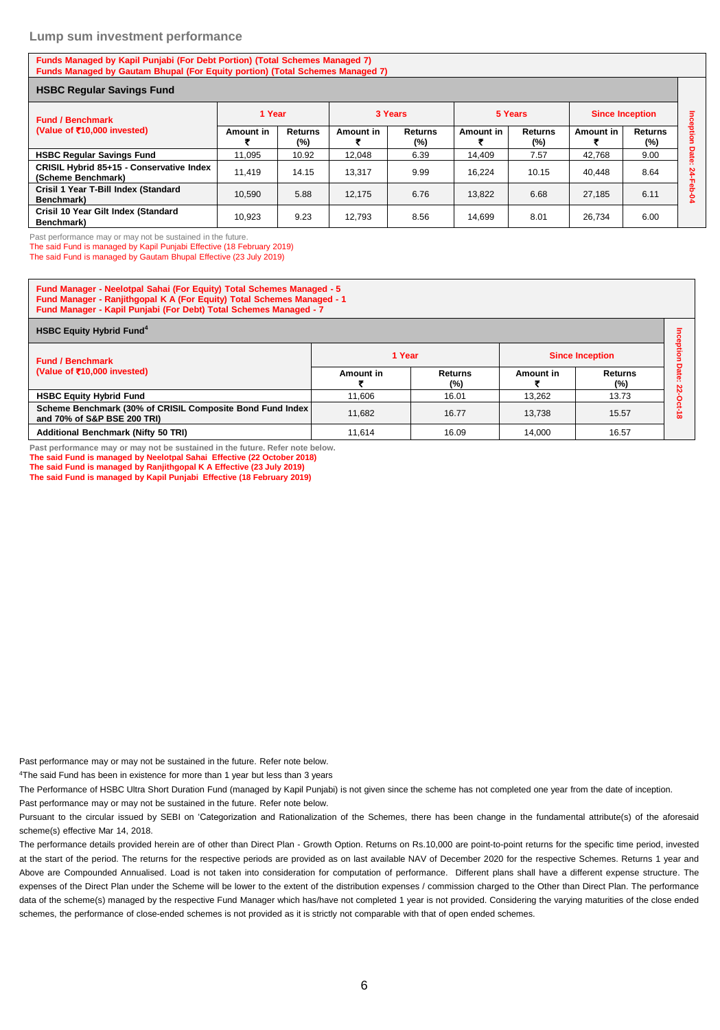#### **Lump sum investment performance**

**Funds Managed by Kapil Punjabi (For Debt Portion) (Total Schemes Managed 7) Funds Managed by Gautam Bhupal (For Equity portion) (Total Schemes Managed 7)**

| <b>HSBC Regular Savings Fund</b>                               |           |                          |           |                   |           |                       |                        |                       |         |  |
|----------------------------------------------------------------|-----------|--------------------------|-----------|-------------------|-----------|-----------------------|------------------------|-----------------------|---------|--|
| <b>Fund / Benchmark</b><br>(Value of ₹10,000 invested)         | 1 Year    |                          | 3 Years   |                   |           | 5 Years               | <b>Since Inception</b> |                       | Ξ       |  |
|                                                                | Amount in | <b>Returns</b><br>$(\%)$ | Amount in | Returns<br>$(\%)$ | Amount in | <b>Returns</b><br>(%) | Amount in              | <b>Returns</b><br>(%) | reption |  |
| <b>HSBC Regular Savings Fund</b>                               | 11.095    | 10.92                    | 12.048    | 6.39              | 14,409    | 7.57                  | 42,768                 | 9.00                  | Date    |  |
| CRISIL Hybrid 85+15 - Conservative Index<br>(Scheme Benchmark) | 11.419    | 14.15                    | 13.317    | 9.99              | 16.224    | 10.15                 | 40.448                 | 8.64                  | 24<br>공 |  |
| Crisil 1 Year T-Bill Index (Standard<br>Benchmark)             | 10.590    | 5.88                     | 12.175    | 6.76              | 13.822    | 6.68                  | 27.185                 | 6.11                  | ደ       |  |
| Crisil 10 Year Gilt Index (Standard<br>Benchmark)              | 10.923    | 9.23                     | 12.793    | 8.56              | 14,699    | 8.01                  | 26,734                 | 6.00                  |         |  |

Past performance may or may not be sustained in the future.

The said Fund is managed by Kapil Punjabi Effective (18 February 2019)

The said Fund is managed by Gautam Bhupal Effective (23 July 2019)

| <b>Fund Manager - Neelotpal Sahai (For Equity) Total Schemes Managed - 5</b><br>Fund Manager - Ranjithgopal K A (For Equity) Total Schemes Managed - 1<br>Fund Manager - Kapil Punjabi (For Debt) Total Schemes Managed - 7 |           |                       |           |                          |  |  |  |  |  |  |  |
|-----------------------------------------------------------------------------------------------------------------------------------------------------------------------------------------------------------------------------|-----------|-----------------------|-----------|--------------------------|--|--|--|--|--|--|--|
| <b>HSBC Equity Hybrid Fund<sup>4</sup></b>                                                                                                                                                                                  |           |                       |           |                          |  |  |  |  |  |  |  |
| <b>Fund / Benchmark</b>                                                                                                                                                                                                     | 1 Year    |                       |           | <b>Since Inception</b>   |  |  |  |  |  |  |  |
| (Value of ₹10,000 invested)                                                                                                                                                                                                 | Amount in | <b>Returns</b><br>(%) | Amount in | <b>Returns</b><br>$(\%)$ |  |  |  |  |  |  |  |
| <b>HSBC Equity Hybrid Fund</b>                                                                                                                                                                                              | 11.606    | 16.01                 | 13.262    | 13.73                    |  |  |  |  |  |  |  |
| Scheme Benchmark (30% of CRISIL Composite Bond Fund Index<br>and 70% of S&P BSE 200 TRI)                                                                                                                                    | 11.682    | 16.77                 | 13.738    | 15.57                    |  |  |  |  |  |  |  |
| <b>Additional Benchmark (Nifty 50 TRI)</b>                                                                                                                                                                                  | 11.614    | 16.09                 | 14.000    | 16.57                    |  |  |  |  |  |  |  |

**Past performance may or may not be sustained in the future. Refer note below. The said Fund is managed by Neelotpal Sahai Effective (22 October 2018) The said Fund is managed by Ranjithgopal K A Effective (23 July 2019)**

**The said Fund is managed by Kapil Punjabi Effective (18 February 2019)**

Past performance may or may not be sustained in the future. Refer note below.

<sup>4</sup>The said Fund has been in existence for more than 1 year but less than 3 years

The Performance of HSBC Ultra Short Duration Fund (managed by Kapil Punjabi) is not given since the scheme has not completed one year from the date of inception.

Past performance may or may not be sustained in the future. Refer note below.

Pursuant to the circular issued by SEBI on 'Categorization and Rationalization of the Schemes, there has been change in the fundamental attribute(s) of the aforesaid scheme(s) effective Mar 14, 2018.

The performance details provided herein are of other than Direct Plan - Growth Option. Returns on Rs.10,000 are point-to-point returns for the specific time period, invested at the start of the period. The returns for the respective periods are provided as on last available NAV of December 2020 for the respective Schemes. Returns 1 year and Above are Compounded Annualised. Load is not taken into consideration for computation of performance. Different plans shall have a different expense structure. The expenses of the Direct Plan under the Scheme will be lower to the extent of the distribution expenses / commission charged to the Other than Direct Plan. The performance data of the scheme(s) managed by the respective Fund Manager which has/have not completed 1 year is not provided. Considering the varying maturities of the close ended schemes, the performance of close-ended schemes is not provided as it is strictly not comparable with that of open ended schemes.